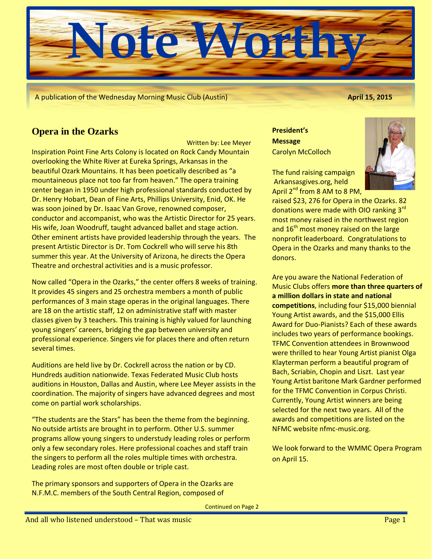

A publication of the Wednesday Morning Music Club (Austin) **April 15, 2015**

# **Opera in the Ozarks**

Written by: Lee Meyer

Inspiration Point Fine Arts Colony is located on Rock Candy Mountain overlooking the White River at Eureka Springs, Arkansas in the beautiful Ozark Mountains. It has been poetically described as "a mountaineous place not too far from heaven." The opera training center began in 1950 under high professional standards conducted by Dr. Henry Hobart, Dean of Fine Arts, Phillips University, Enid, OK. He was soon joined by Dr. Isaac Van Grove, renowned composer, conductor and accompanist, who was the Artistic Director for 25 years. His wife, Joan Woodruff, taught advanced ballet and stage action. Other eminent artists have provided leadership through the years. The present Artistic Director is Dr. Tom Cockrell who will serve his 8th summer this year. At the University of Arizona, he directs the Opera Theatre and orchestral activities and is a music professor.

Now called "Opera in the Ozarks," the center offers 8 weeks of training. It provides 45 singers and 25 orchestra members a month of public performances of 3 main stage operas in the original languages. There are 18 on the artistic staff, 12 on administrative staff with master classes given by 3 teachers. This training is highly valued for launching young singers' careers, bridging the gap between university and professional experience. Singers vie for places there and often return several times.

Auditions are held live by Dr. Cockrell across the nation or by CD. Hundreds audition nationwide. Texas Federated Music Club hosts auditions in Houston, Dallas and Austin, where Lee Meyer assists in the coordination. The majority of singers have advanced degrees and most come on partial work scholarships.

"The students are the Stars" has been the theme from the beginning. No outside artists are brought in to perform. Other U.S. summer programs allow young singers to understudy leading roles or perform only a few secondary roles. Here professional coaches and staff train the singers to perform all the roles multiple times with orchestra. Leading roles are most often double or triple cast.

The primary sponsors and supporters of Opera in the Ozarks are N.F.M.C. members of the South Central Region, composed of

**President's Message** Carolyn McColloch



The fund raising campaign Arkansasgives.org, held April  $2^{nd}$  from 8 AM to 8 PM,

raised \$23, 276 for Opera in the Ozarks. 82 donations were made with OIO ranking 3<sup>rd</sup> most money raised in the northwest region and  $16<sup>th</sup>$  most money raised on the large nonprofit leaderboard. Congratulations to Opera in the Ozarks and many thanks to the donors.

Are you aware the National Federation of Music Clubs offers **more than three quarters of a million dollars in state and national competitions**, including four \$15,000 biennial Young Artist awards, and the \$15,000 Ellis Award for Duo-Pianists? Each of these awards includes two years of performance bookings. TFMC Convention attendees in Brownwood were thrilled to hear Young Artist pianist Olga Klayterman perform a beautiful program of Bach, Scriabin, Chopin and Liszt. Last year Young Artist baritone Mark Gardner performed for the TFMC Convention in Corpus Christi. Currently, Young Artist winners are being selected for the next two years. All of the awards and competitions are listed on the NFMC website nfmc-music.org.

We look forward to the WMMC Opera Program on April 15.

Continued on Page 2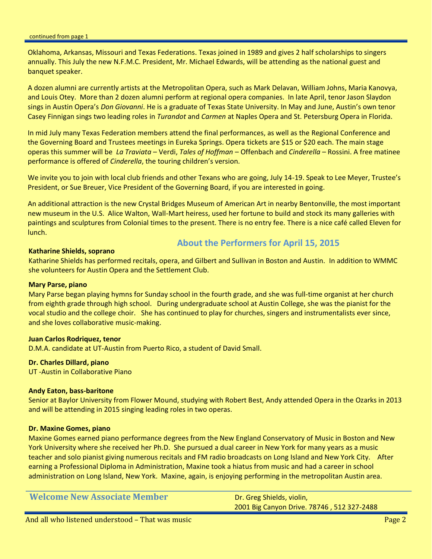Oklahoma, Arkansas, Missouri and Texas Federations. Texas joined in 1989 and gives 2 half scholarships to singers annually. This July the new N.F.M.C. President, Mr. Michael Edwards, will be attending as the national guest and banquet speaker.

A dozen alumni are currently artists at the Metropolitan Opera, such as Mark Delavan, William Johns, Maria Kanovya, and Louis Otey. More than 2 dozen alumni perform at regional opera companies. In late April, tenor Jason Slaydon sings in Austin Opera's *Don Giovanni*. He is a graduate of Texas State University. In May and June, Austin's own tenor Casey Finnigan sings two leading roles in *Turandot* and *Carmen* at Naples Opera and St. Petersburg Opera in Florida.

In mid July many Texas Federation members attend the final performances, as well as the Regional Conference and the Governing Board and Trustees meetings in Eureka Springs. Opera tickets are \$15 or \$20 each. The main stage operas this summer will be *La Traviata* – Verdi, *Tales of Hoffman* – Offenbach and *Cinderella* – Rossini. A free matinee performance is offered of *Cinderella*, the touring children's version.

We invite you to join with local club friends and other Texans who are going, July 14-19. Speak to Lee Meyer, Trustee's President, or Sue Breuer, Vice President of the Governing Board, if you are interested in going.

An additional attraction is the new Crystal Bridges Museum of American Art in nearby Bentonville, the most important new museum in the U.S. Alice Walton, Wall-Mart heiress, used her fortune to build and stock its many galleries with paintings and sculptures from Colonial times to the present. There is no entry fee. There is a nice café called Eleven for lunch.

#### **Katharine Shields, soprano**

## **About the Performers for April 15, 2015**

Katharine Shields has performed recitals, opera, and Gilbert and Sullivan in Boston and Austin. In addition to WMMC she volunteers for Austin Opera and the Settlement Club.

#### **Mary Parse, piano**

Mary Parse began playing hymns for Sunday school in the fourth grade, and she was full-time organist at her church from eighth grade through high school. During undergraduate school at Austin College, she was the pianist for the vocal studio and the college choir. She has continued to play for churches, singers and instrumentalists ever since, and she loves collaborative music-making.

#### **Juan Carlos Rodriquez, tenor**

D.M.A. candidate at UT-Austin from Puerto Rico, a student of David Small.

#### **Dr. Charles Dillard, piano**

UT -Austin in Collaborative Piano

### **Andy Eaton, bass-baritone**

Senior at Baylor University from Flower Mound, studying with Robert Best, Andy attended Opera in the Ozarks in 2013 and will be attending in 2015 singing leading roles in two operas.

#### **Dr. Maxine Gomes, piano**

Maxine Gomes earned piano performance degrees from the New England Conservatory of Music in Boston and New York University where she received her Ph.D. She pursued a dual career in New York for many years as a music teacher and solo pianist giving numerous recitals and FM radio broadcasts on Long Island and New York City. After earning a Professional Diploma in Administration, Maxine took a hiatus from music and had a career in school administration on Long Island, New York. Maxine, again, is enjoying performing in the metropolitan Austin area.

| <b>Welcome New Associate Member</b> | Dr. Greg Shields, violin,                  |
|-------------------------------------|--------------------------------------------|
|                                     | 2001 Big Canyon Drive. 78746, 512 327-2488 |